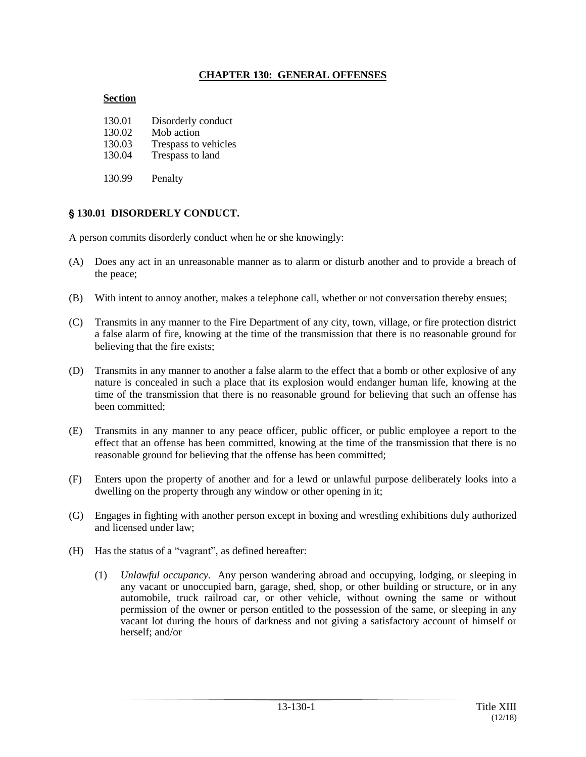### **CHAPTER 130: GENERAL OFFENSES**

#### **Section**

| 130.01 | Disorderly conduct   |
|--------|----------------------|
| 130.02 | Mob action           |
| 130.03 | Trespass to vehicles |
| 130.04 | Trespass to land     |
| 130.99 | Penalty              |

# ' **130.01 DISORDERLY CONDUCT.**

A person commits disorderly conduct when he or she knowingly:

- (A) Does any act in an unreasonable manner as to alarm or disturb another and to provide a breach of the peace;
- (B) With intent to annoy another, makes a telephone call, whether or not conversation thereby ensues;
- (C) Transmits in any manner to the Fire Department of any city, town, village, or fire protection district a false alarm of fire, knowing at the time of the transmission that there is no reasonable ground for believing that the fire exists;
- (D) Transmits in any manner to another a false alarm to the effect that a bomb or other explosive of any nature is concealed in such a place that its explosion would endanger human life, knowing at the time of the transmission that there is no reasonable ground for believing that such an offense has been committed;
- (E) Transmits in any manner to any peace officer, public officer, or public employee a report to the effect that an offense has been committed, knowing at the time of the transmission that there is no reasonable ground for believing that the offense has been committed;
- (F) Enters upon the property of another and for a lewd or unlawful purpose deliberately looks into a dwelling on the property through any window or other opening in it;
- (G) Engages in fighting with another person except in boxing and wrestling exhibitions duly authorized and licensed under law;
- (H) Has the status of a "vagrant", as defined hereafter:
	- (1) *Unlawful occupancy.* Any person wandering abroad and occupying, lodging, or sleeping in any vacant or unoccupied barn, garage, shed, shop, or other building or structure, or in any automobile, truck railroad car, or other vehicle, without owning the same or without permission of the owner or person entitled to the possession of the same, or sleeping in any vacant lot during the hours of darkness and not giving a satisfactory account of himself or herself; and/or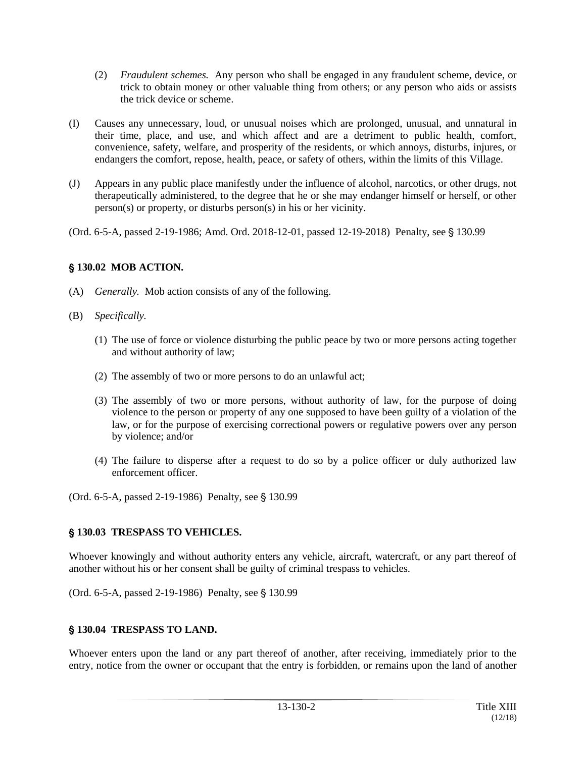- (2) *Fraudulent schemes.* Any person who shall be engaged in any fraudulent scheme, device, or trick to obtain money or other valuable thing from others; or any person who aids or assists the trick device or scheme.
- (I) Causes any unnecessary, loud, or unusual noises which are prolonged, unusual, and unnatural in their time, place, and use, and which affect and are a detriment to public health, comfort, convenience, safety, welfare, and prosperity of the residents, or which annoys, disturbs, injures, or endangers the comfort, repose, health, peace, or safety of others, within the limits of this Village.
- (J) Appears in any public place manifestly under the influence of alcohol, narcotics, or other drugs, not therapeutically administered, to the degree that he or she may endanger himself or herself, or other person(s) or property, or disturbs person(s) in his or her vicinity.

(Ord. 6-5-A, passed 2-19-1986; Amd. Ord. 2018-12-01, passed 12-19-2018) Penalty, see § 130.99

### ' **130.02 MOB ACTION.**

- (A) *Generally.* Mob action consists of any of the following.
- (B) *Specifically.*
	- (1) The use of force or violence disturbing the public peace by two or more persons acting together and without authority of law;
	- (2) The assembly of two or more persons to do an unlawful act;
	- (3) The assembly of two or more persons, without authority of law, for the purpose of doing violence to the person or property of any one supposed to have been guilty of a violation of the law, or for the purpose of exercising correctional powers or regulative powers over any person by violence; and/or
	- (4) The failure to disperse after a request to do so by a police officer or duly authorized law enforcement officer.

(Ord. 6-5-A, passed 2-19-1986) Penalty, see § 130.99

### ' **130.03 TRESPASS TO VEHICLES.**

Whoever knowingly and without authority enters any vehicle, aircraft, watercraft, or any part thereof of another without his or her consent shall be guilty of criminal trespass to vehicles.

(Ord. 6-5-A, passed 2-19-1986) Penalty, see § 130.99

### ' **130.04 TRESPASS TO LAND.**

Whoever enters upon the land or any part thereof of another, after receiving, immediately prior to the entry, notice from the owner or occupant that the entry is forbidden, or remains upon the land of another